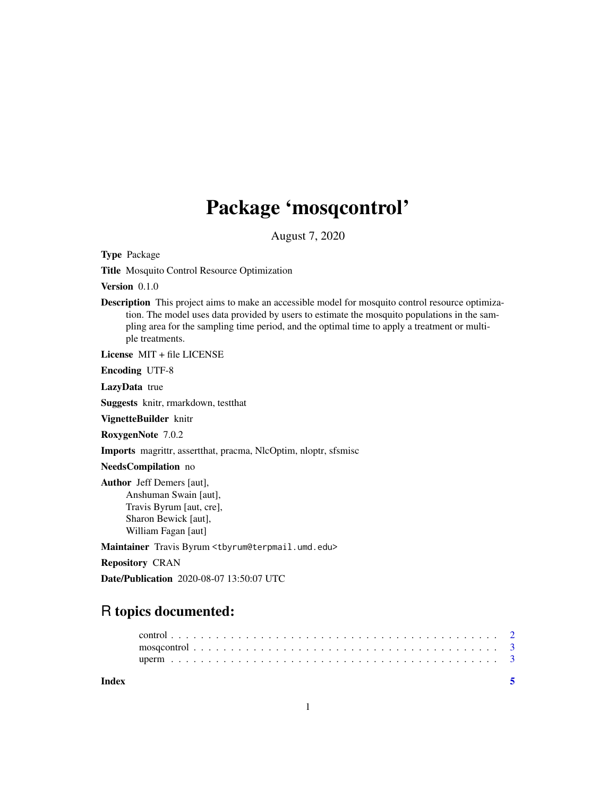# Package 'mosqcontrol'

August 7, 2020

Type Package

Title Mosquito Control Resource Optimization

Version 0.1.0

Description This project aims to make an accessible model for mosquito control resource optimization. The model uses data provided by users to estimate the mosquito populations in the sampling area for the sampling time period, and the optimal time to apply a treatment or multiple treatments.

License MIT + file LICENSE

Encoding UTF-8

LazyData true

Suggests knitr, rmarkdown, testthat

VignetteBuilder knitr

RoxygenNote 7.0.2

Imports magrittr, assertthat, pracma, NlcOptim, nloptr, sfsmisc

NeedsCompilation no

Author Jeff Demers [aut], Anshuman Swain [aut], Travis Byrum [aut, cre], Sharon Bewick [aut], William Fagan [aut]

Maintainer Travis Byrum <tbyrum@terpmail.umd.edu>

Repository CRAN

Date/Publication 2020-08-07 13:50:07 UTC

# R topics documented:

| Index |  |  |  |  |  |  |  |  |  |  |  |  |  |  |  |  |  |  |  |  |  |
|-------|--|--|--|--|--|--|--|--|--|--|--|--|--|--|--|--|--|--|--|--|--|
|       |  |  |  |  |  |  |  |  |  |  |  |  |  |  |  |  |  |  |  |  |  |
|       |  |  |  |  |  |  |  |  |  |  |  |  |  |  |  |  |  |  |  |  |  |
|       |  |  |  |  |  |  |  |  |  |  |  |  |  |  |  |  |  |  |  |  |  |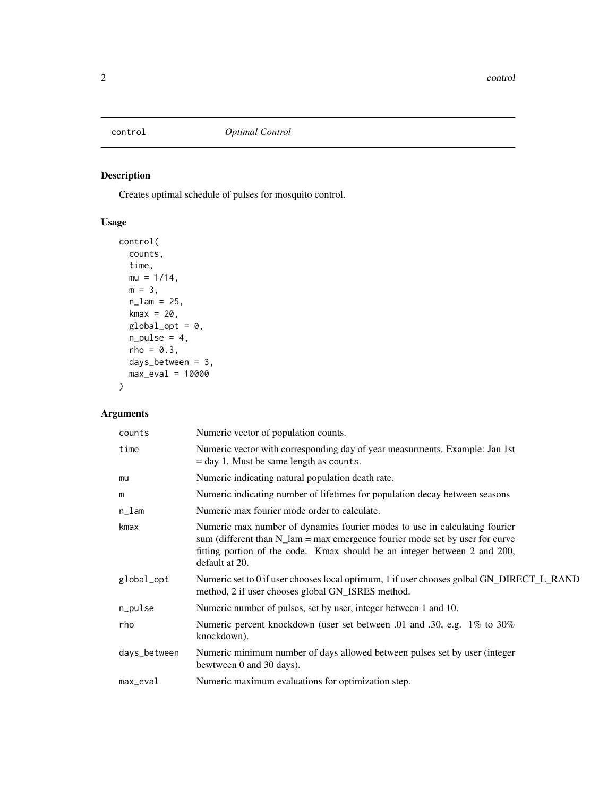<span id="page-1-0"></span>

# Description

Creates optimal schedule of pulses for mosquito control.

# Usage

```
control(
  counts,
  time,
  mu = 1/14,
  m = 3,n_{\text{lam}} = 25,kmax = 20,
  global\_opt = 0,
  n\_pulse = 4,
  rho = 0.3,
  days_between = 3,
  max_eval = 10000
)
```
# Arguments

| counts       | Numeric vector of population counts.                                                                                                                                                                                                                               |
|--------------|--------------------------------------------------------------------------------------------------------------------------------------------------------------------------------------------------------------------------------------------------------------------|
| time         | Numeric vector with corresponding day of year measurments. Example: Jan 1st<br>$=$ day 1. Must be same length as counts.                                                                                                                                           |
| mu           | Numeric indicating natural population death rate.                                                                                                                                                                                                                  |
| m            | Numeric indicating number of lifetimes for population decay between seasons                                                                                                                                                                                        |
| n_lam        | Numeric max fourier mode order to calculate.                                                                                                                                                                                                                       |
| kmax         | Numeric max number of dynamics fourier modes to use in calculating fourier<br>sum (different than $N_{\text{a}}$ = max emergence fourier mode set by user for curve<br>fitting portion of the code. Kmax should be an integer between 2 and 200,<br>default at 20. |
| global_opt   | Numeric set to 0 if user chooses local optimum, 1 if user chooses golbal GN_DIRECT_L_RAND<br>method, 2 if user chooses global GN_ISRES method.                                                                                                                     |
| n_pulse      | Numeric number of pulses, set by user, integer between 1 and 10.                                                                                                                                                                                                   |
| rho          | Numeric percent knockdown (user set between .01 and .30, e.g. 1% to 30%<br>knockdown).                                                                                                                                                                             |
| days_between | Numeric minimum number of days allowed between pulses set by user (integer<br>bewtween 0 and 30 days).                                                                                                                                                             |
| max_eval     | Numeric maximum evaluations for optimization step.                                                                                                                                                                                                                 |
|              |                                                                                                                                                                                                                                                                    |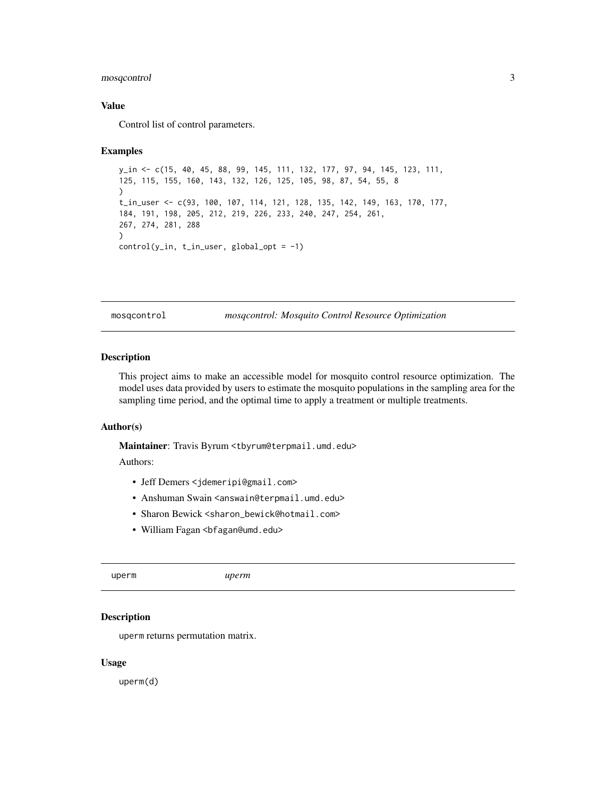#### <span id="page-2-0"></span>mosqcontrol 3

#### Value

Control list of control parameters.

#### Examples

```
y_in <- c(15, 40, 45, 88, 99, 145, 111, 132, 177, 97, 94, 145, 123, 111,
125, 115, 155, 160, 143, 132, 126, 125, 105, 98, 87, 54, 55, 8
\lambdat_in_user <- c(93, 100, 107, 114, 121, 128, 135, 142, 149, 163, 170, 177,
184, 191, 198, 205, 212, 219, 226, 233, 240, 247, 254, 261,
267, 274, 281, 288
)
control(y_in, t_in_user, global_opt = -1)
```
mosqcontrol *mosqcontrol: Mosquito Control Resource Optimization*

#### Description

This project aims to make an accessible model for mosquito control resource optimization. The model uses data provided by users to estimate the mosquito populations in the sampling area for the sampling time period, and the optimal time to apply a treatment or multiple treatments.

#### Author(s)

Maintainer: Travis Byrum <tbyrum@terpmail.umd.edu>

#### Authors:

- Jeff Demers <jdemeripi@gmail.com>
- Anshuman Swain <answain@terpmail.umd.edu>
- Sharon Bewick <sharon\_bewick@hotmail.com>
- William Fagan <br />
Graumd.edu>

uperm *uperm*

#### Description

uperm returns permutation matrix.

#### Usage

uperm(d)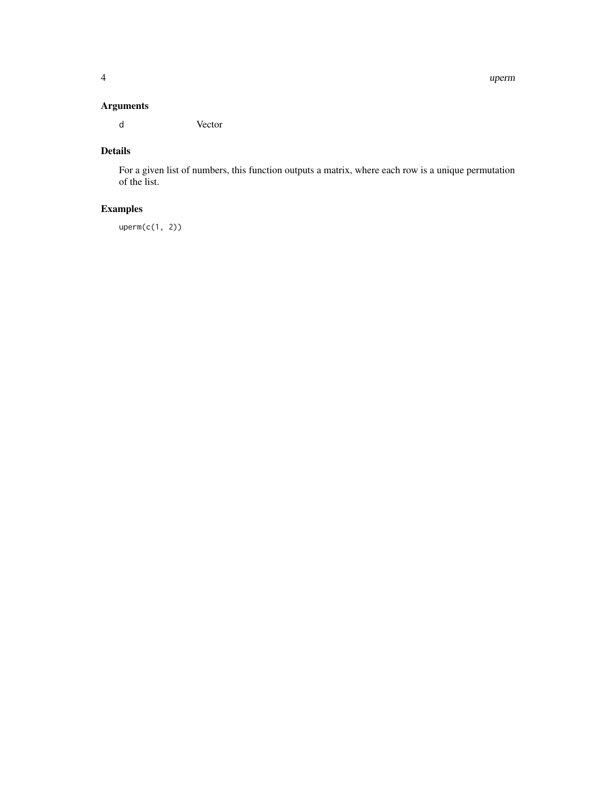# Arguments

d Vector

# Details

For a given list of numbers, this function outputs a matrix, where each row is a unique permutation of the list.

# Examples

uperm(c(1, 2))